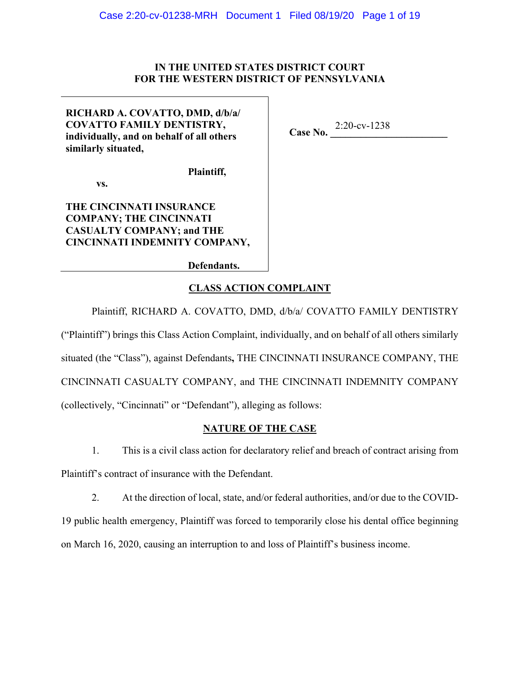### IN THE UNITED STATES DISTRICT COURT FOR THE WESTERN DISTRICT OF PENNSYLVANIA

# RICHARD A. COVATTO, DMD, d/b/a/ **COVATTO FAMILY DENTISTRY,** individually, and on behalf of all others similarly situated,

Case No.  $2:20$ -cv-1238

VS.

# THE CINCINNATI INSURANCE **COMPANY; THE CINCINNATI CASUALTY COMPANY: and THE** CINCINNATI INDEMNITY COMPANY,

Defendants.

Plaintiff,

# **CLASS ACTION COMPLAINT**

Plaintiff, RICHARD A. COVATTO, DMD, d/b/a/ COVATTO FAMILY DENTISTRY

("Plaintiff") brings this Class Action Complaint, individually, and on behalf of all others similarly situated (the "Class"), against Defendants, THE CINCINNATI INSURANCE COMPANY, THE CINCINNATI CASUALTY COMPANY, and THE CINCINNATI INDEMNITY COMPANY (collectively, "Cincinnati" or "Defendant"), alleging as follows:

# **NATURE OF THE CASE**

 $1.$ This is a civil class action for declaratory relief and breach of contract arising from Plaintiff's contract of insurance with the Defendant.

 $2.$ At the direction of local, state, and/or federal authorities, and/or due to the COVID-19 public health emergency, Plaintiff was forced to temporarily close his dental office beginning on March 16, 2020, causing an interruption to and loss of Plaintiff's business income.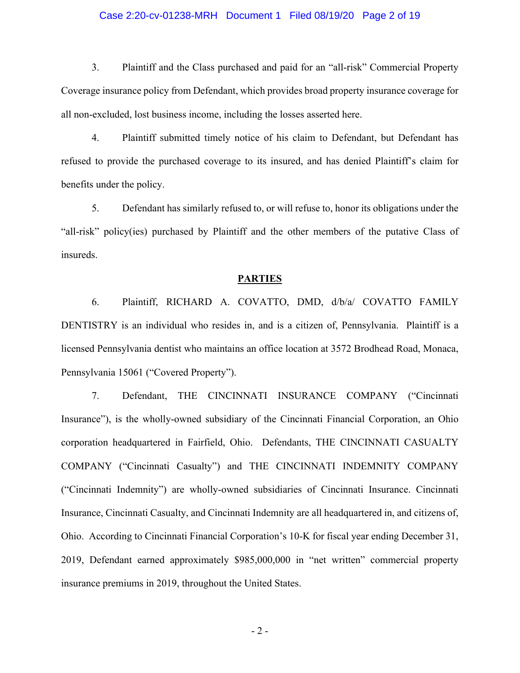### Case 2:20-cv-01238-MRH Document 1 Filed 08/19/20 Page 2 of 19

 $3.$ Plaintiff and the Class purchased and paid for an "all-risk" Commercial Property Coverage insurance policy from Defendant, which provides broad property insurance coverage for all non-excluded, lost business income, including the losses asserted here.

 $\overline{4}$ . Plaintiff submitted timely notice of his claim to Defendant, but Defendant has refused to provide the purchased coverage to its insured, and has denied Plaintiff's claim for benefits under the policy.

5. Defendant has similarly refused to, or will refuse to, honor its obligations under the "all-risk" policy(ies) purchased by Plaintiff and the other members of the putative Class of insureds.

#### **PARTIES**

Plaintiff, RICHARD A. COVATTO, DMD, d/b/a/ COVATTO FAMILY 6. DENTISTRY is an individual who resides in, and is a citizen of, Pennsylvania. Plaintiff is a licensed Pennsylvania dentist who maintains an office location at 3572 Brodhead Road, Monaca, Pennsylvania 15061 ("Covered Property").

7. Defendant, THE CINCINNATI INSURANCE COMPANY ("Cincinnati Insurance", is the wholly-owned subsidiary of the Cincinnati Financial Corporation, an Ohio corporation headquartered in Fairfield, Ohio. Defendants, THE CINCINNATI CASUALTY COMPANY ("Cincinnati Casualty") and THE CINCINNATI INDEMNITY COMPANY ("Cincinnati Indemnity") are wholly-owned subsidiaries of Cincinnati Insurance. Cincinnati Insurance, Cincinnati Casualty, and Cincinnati Indemnity are all headquartered in, and citizens of, Ohio. According to Cincinnati Financial Corporation's 10-K for fiscal year ending December 31, 2019, Defendant earned approximately \$985,000,000 in "net written" commercial property insurance premiums in 2019, throughout the United States.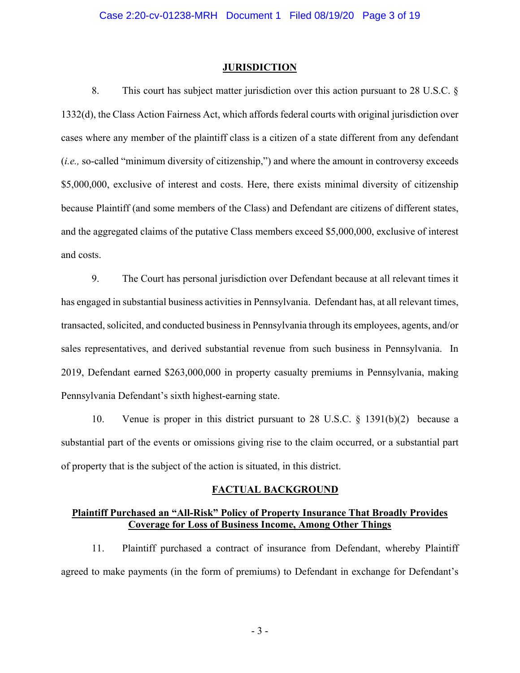#### **JURISDICTION**

This court has subject matter jurisdiction over this action pursuant to 28 U.S.C.  $\S$ 8. 1332(d), the Class Action Fairness Act, which affords federal courts with original jurisdiction over cases where any member of the plaintiff class is a citizen of a state different from any defendant (*i.e.*, so-called "minimum diversity of citizenship,") and where the amount in controversy exceeds \$5,000,000, exclusive of interest and costs. Here, there exists minimal diversity of citizenship because Plaintiff (and some members of the Class) and Defendant are citizens of different states, and the aggregated claims of the putative Class members exceed \$5,000,000, exclusive of interest and costs.

9. The Court has personal jurisdiction over Defendant because at all relevant times it has engaged in substantial business activities in Pennsylvania. Defendant has, at all relevant times, transacted, solicited, and conducted business in Pennsylvania through its employees, agents, and/or sales representatives, and derived substantial revenue from such business in Pennsylvania. In 2019, Defendant earned \$263,000,000 in property casualty premiums in Pennsylvania, making Pennsylvania Defendant's sixth highest-earning state.

Venue is proper in this district pursuant to 28 U.S.C.  $\S$  1391(b)(2) because a 10. substantial part of the events or omissions giving rise to the claim occurred, or a substantial part of property that is the subject of the action is situated, in this district.

#### **FACTUAL BACKGROUND**

### **Plaintiff Purchased an "All-Risk" Policy of Property Insurance That Broadly Provides Coverage for Loss of Business Income, Among Other Things**

Plaintiff purchased a contract of insurance from Defendant, whereby Plaintiff  $11.$ agreed to make payments (in the form of premiums) to Defendant in exchange for Defendant's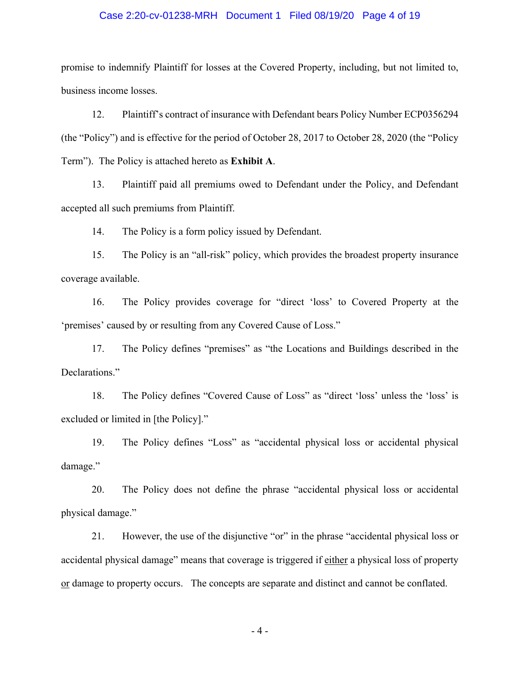### Case 2:20-cv-01238-MRH Document 1 Filed 08/19/20 Page 4 of 19

promise to indemnify Plaintiff for losses at the Covered Property, including, but not limited to, business income losses.

12. Plaintiff's contract of insurance with Defendant bears Policy Number ECP0356294 (the "Policy") and is effective for the period of October 28, 2017 to October 28, 2020 (the "Policy" Term"). The Policy is attached hereto as Exhibit A.

13. Plaintiff paid all premiums owed to Defendant under the Policy, and Defendant accepted all such premiums from Plaintiff.

14. The Policy is a form policy issued by Defendant.

15. The Policy is an "all-risk" policy, which provides the broadest property insurance coverage available.

16. The Policy provides coverage for "direct 'loss' to Covered Property at the 'premises' caused by or resulting from any Covered Cause of Loss."

The Policy defines "premises" as "the Locations and Buildings described in the 17. Declarations."

18. The Policy defines "Covered Cause of Loss" as "direct 'loss' unless the 'loss' is excluded or limited in [the Policy]."

19. The Policy defines "Loss" as "accidental physical loss or accidental physical damage."

20. The Policy does not define the phrase "accidental physical loss or accidental physical damage."

21. However, the use of the disjunctive "or" in the phrase "accidental physical loss or accidental physical damage" means that coverage is triggered if either a physical loss of property or damage to property occurs. The concepts are separate and distinct and cannot be conflated.

 $-4-$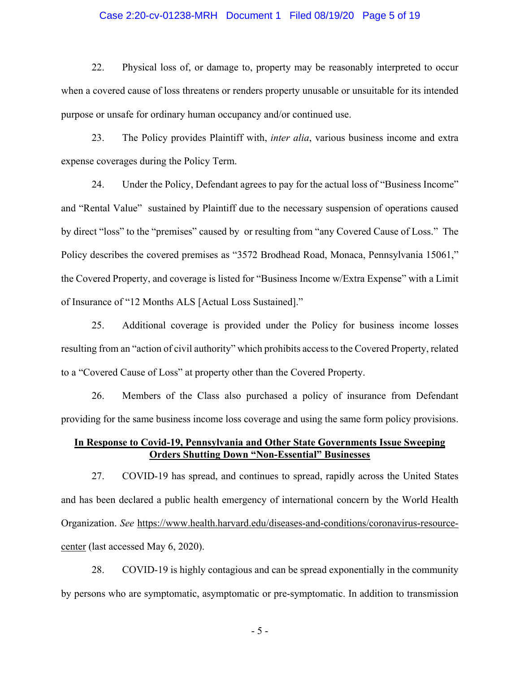### Case 2:20-cv-01238-MRH Document 1 Filed 08/19/20 Page 5 of 19

22. Physical loss of, or damage to, property may be reasonably interpreted to occur when a covered cause of loss threatens or renders property unusable or unsuitable for its intended purpose or unsafe for ordinary human occupancy and/or continued use.

23. The Policy provides Plaintiff with, *inter alia*, various business income and extra expense coverages during the Policy Term.

24. Under the Policy, Defendant agrees to pay for the actual loss of "Business Income" and "Rental Value" sustained by Plaintiff due to the necessary suspension of operations caused by direct "loss" to the "premises" caused by or resulting from "any Covered Cause of Loss." The Policy describes the covered premises as "3572 Brodhead Road, Monaca, Pennsylvania 15061," the Covered Property, and coverage is listed for "Business Income w/Extra Expense" with a Limit of Insurance of "12 Months ALS [Actual Loss Sustained]."

25. Additional coverage is provided under the Policy for business income losses resulting from an "action of civil authority" which prohibits access to the Covered Property, related to a "Covered Cause of Loss" at property other than the Covered Property.

26. Members of the Class also purchased a policy of insurance from Defendant providing for the same business income loss coverage and using the same form policy provisions.

## **In Response to Covid-19, Pennsylvania and Other State Governments Issue Sweeping 2Drders Shutting Down "Non-Essential" Businesses**

27. COVID-19 has spread, and continues to spread, rapidly across the United States and has been declared a public health emergency of international concern by the World Health Organization. See https://www.health.harvard.edu/diseases-and-conditions/coronavirus-resourcecenter (last accessed May 6, 2020).

28. COVID-19 is highly contagious and can be spread exponentially in the community by persons who are symptomatic, asymptomatic or pre-symptomatic. In addition to transmission

 $-5-$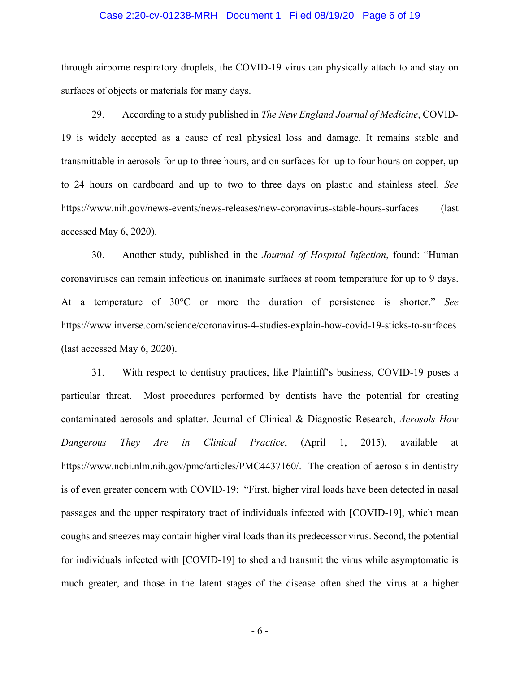#### Case 2:20-cv-01238-MRH Document 1 Filed 08/19/20 Page 6 of 19

through airborne respiratory droplets, the COVID-19 virus can physically attach to and stay on surfaces of objects or materials for many days.

29. According to a study published in *The New England Journal of Medicine*, COVID-19 is widely accepted as a cause of real physical loss and damage. It remains stable and transmittable in aerosols for up to three hours, and on surfaces for up to four hours on copper, up to 24 hours on cardboard and up to two to three days on plastic and stainless steel. See https://www.nih.gov/news-events/news-releases/new-coronavirus-stable-hours-surfaces (last accessed May  $6, 2020$ ).

30. Another study, published in the *Journal of Hospital Infection*, found: "Human coronaviruses can remain infectious on inanimate surfaces at room temperature for up to 9 days. At a temperature of 30°C or more the duration of persistence is shorter." See https://www.inverse.com/science/coronavirus-4-studies-explain-how-covid-19-sticks-to-surfaces (last accessed May  $6, 2020$ ).

31. With respect to dentistry practices, like Plaintiff's business, COVID-19 poses a particular threat. Most procedures performed by dentists have the potential for creating contaminated aerosols and splatter. Journal of Clinical & Diagnostic Research, *Aerosols How* Dangerous They Are in Clinical Practice, (April 1, 2015), available at https://www.ncbi.nlm.nih.gov/pmc/articles/PMC4437160/. The creation of aerosols in dentistry is of even greater concern with COVID-19: "First, higher viral loads have been detected in nasal passages and the upper respiratory tract of individuals infected with [COVID-19], which mean coughs and sneezes may contain higher viral loads than its predecessor virus. Second, the potential for individuals infected with [COVID-19] to shed and transmit the virus while asymptomatic is much greater, and those in the latent stages of the disease often shed the virus at a higher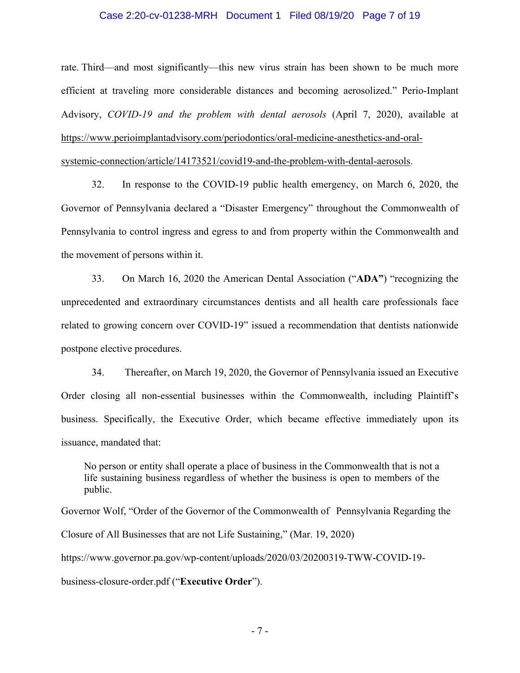#### Case 2:20-cv-01238-MRH Document 1 Filed 08/19/20 Page 7 of 19

rate. Third—and most significantly—this new virus strain has been shown to be much more efficient at traveling more considerable distances and becoming aerosolized." Perio-Implant Advisory, COVID-19 and the problem with dental aerosols (April 7, 2020), available at https://www.perioimplantadvisory.com/periodontics/oral-medicine-anesthetics-and-oral-

systemic-connection/article/14173521/covid19-and-the-problem-with-dental-aerosols.

32. In response to the COVID-19 public health emergency, on March 6, 2020, the Governor of Pennsylvania declared a "Disaster Emergency" throughout the Commonwealth of Pennsylvania to control ingress and egress to and from property within the Commonwealth and the movement of persons within it.

33. On March 16, 2020 the American Dental Association ("ADA") "recognizing the unprecedented and extraordinary circumstances dentists and all health care professionals face related to growing concern over COVID-19" issued a recommendation that dentists nationwide postpone elective procedures.

Thereafter, on March 19, 2020, the Governor of Pennsylvania issued an Executive  $34$ Order closing all non-essential businesses within the Commonwealth, including Plaintiff's business. Specifically, the Executive Order, which became effective immediately upon its issuance, mandated that:

No person or entity shall operate a place of business in the Commonwealth that is not a life sustaining business regardless of whether the business is open to members of the public.

Governor Wolf, "Order of the Governor of the Commonwealth of Pennsylvania Regarding the Closure of All Businesses that are not Life Sustaining," (Mar. 19, 2020) https://www.governor.pa.gov/wp-content/uploads/2020/03/20200319-TWW-COVID-19business-closure-order.pdf ("Executive Order").

 $-7-$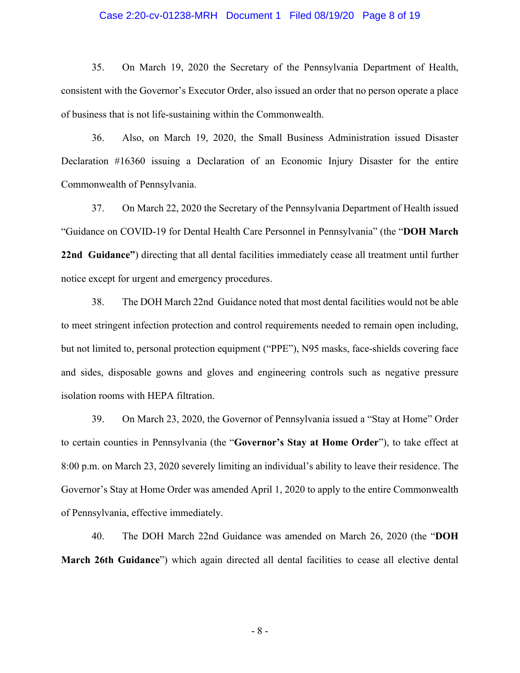#### Case 2:20-cv-01238-MRH Document 1 Filed 08/19/20 Page 8 of 19

35. On March 19, 2020 the Secretary of the Pennsylvania Department of Health, consistent with the Governor's Executor Order, also issued an order that no person operate a place of business that is not life-sustaining within the Commonwealth.

36. Also, on March 19, 2020, the Small Business Administration issued Disaster Declaration #16360 issuing a Declaration of an Economic Injury Disaster for the entire Commonwealth of Pennsylvania.

37. On March 22, 2020 the Secretary of the Pennsylvania Department of Health issued "Guidance on COVID-19 for Dental Health Care Personnel in Pennsylvania" (the "DOH March 22nd Guidance") directing that all dental facilities immediately cease all treatment until further notice except for urgent and emergency procedures.

38. The DOH March 22nd Guidance noted that most dental facilities would not be able to meet stringent infection protection and control requirements needed to remain open including, but not limited to, personal protection equipment ("PPE"), N95 masks, face-shields covering face and sides, disposable gowns and gloves and engineering controls such as negative pressure isolation rooms with HEPA filtration.

39. On March 23, 2020, the Governor of Pennsylvania issued a "Stay at Home" Order to certain counties in Pennsylvania (the "Governor's Stay at Home Order"), to take effect at 8:00 p.m. on March 23, 2020 severely limiting an individual's ability to leave their residence. The Governor's Stay at Home Order was amended April 1, 2020 to apply to the entire Commonwealth of Pennsylvania, effective immediately.

40. The DOH March 22nd Guidance was amended on March 26, 2020 (the "DOH March 26th Guidance") which again directed all dental facilities to cease all elective dental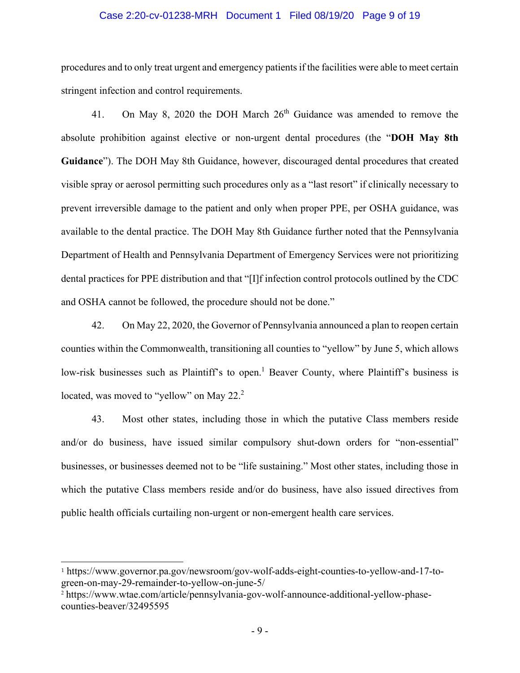#### Case 2:20-cv-01238-MRH Document 1 Filed 08/19/20 Page 9 of 19

procedures and to only treat urgent and emergency patients if the facilities were able to meet certain stringent infection and control requirements.

On May 8, 2020 the DOH March  $26<sup>th</sup>$  Guidance was amended to remove the 41. absolute prohibition against elective or non-urgent dental procedures (the "DOH May 8th Guidance"). The DOH May 8th Guidance, however, discouraged dental procedures that created visible spray or aerosol permitting such procedures only as a "last resort" if clinically necessary to prevent irreversible damage to the patient and only when proper PPE, per OSHA guidance, was available to the dental practice. The DOH May 8th Guidance further noted that the Pennsylvania Department of Health and Pennsylvania Department of Emergency Services were not prioritizing dental practices for PPE distribution and that "[I]f infection control protocols outlined by the CDC and OSHA cannot be followed, the procedure should not be done."

42. On May 22, 2020, the Governor of Pennsylvania announced a plan to reopen certain counties within the Commonwealth, transitioning all counties to "yellow" by June 5, which allows low-risk businesses such as Plaintiff's to open.<sup>1</sup> Beaver County, where Plaintiff's business is located, was moved to "yellow" on May  $22<sup>2</sup>$ 

43. Most other states, including those in which the putative Class members reside and/or do business, have issued similar compulsory shut-down orders for "non-essential" businesses, or businesses deemed not to be "life sustaining." Most other states, including those in which the putative Class members reside and/or do business, have also issued directives from public health officials curtailing non-urgent or non-emergent health care services.

<sup>&</sup>lt;sup>1</sup> https://www.governor.pa.gov/newsroom/gov-wolf-adds-eight-counties-to-yellow-and-17-togreen-on-may-29-remainder-to-yellow-on-june-5/

<sup>&</sup>lt;sup>2</sup> https://www.wtae.com/article/pennsylvania-gov-wolf-announce-additional-yellow-phasecounties-beaver/32495595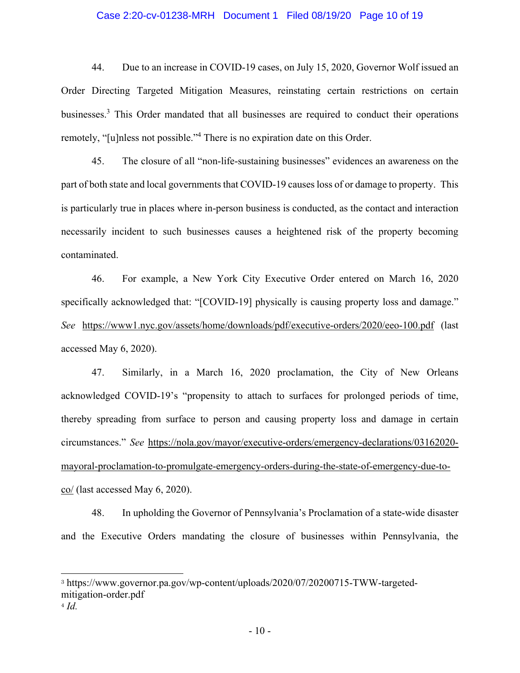#### Case 2:20-cv-01238-MRH Document 1 Filed 08/19/20 Page 10 of 19

44. Due to an increase in COVID-19 cases, on July 15, 2020, Governor Wolf issued an Order Directing Targeted Mitigation Measures, reinstating certain restrictions on certain businesses.<sup>3</sup> This Order mandated that all businesses are required to conduct their operations remotely, "[u]nless not possible."<sup>4</sup> There is no expiration date on this Order.

45. The closure of all "non-life-sustaining businesses" evidences an awareness on the part of both state and local governments that COVID-19 causes loss of or damage to property. This is particularly true in places where in-person business is conducted, as the contact and interaction necessarily incident to such businesses causes a heightened risk of the property becoming contaminated.

46. For example, a New York City Executive Order entered on March 16, 2020 specifically acknowledged that: "[COVID-19] physically is causing property loss and damage." See https://www1.nyc.gov/assets/home/downloads/pdf/executive-orders/2020/eeo-100.pdf (last accessed May 6, 2020).

Similarly, in a March 16, 2020 proclamation, the City of New Orleans 47. acknowledged COVID-19's "propensity to attach to surfaces for prolonged periods of time, thereby spreading from surface to person and causing property loss and damage in certain circumstances." See https://nola.gov/mayor/executive-orders/emergency-declarations/03162020mayoral-proclamation-to-promulgate-emergency-orders-during-the-state-of-emergency-due-toco/ (last accessed May 6, 2020).

48. In upholding the Governor of Pennsylvania's Proclamation of a state-wide disaster and the Executive Orders mandating the closure of businesses within Pennsylvania, the

<sup>&</sup>lt;sup>3</sup> https://www.governor.pa.gov/wp-content/uploads/2020/07/20200715-TWW-targetedmitigation-order.pdf

 $4$  Id.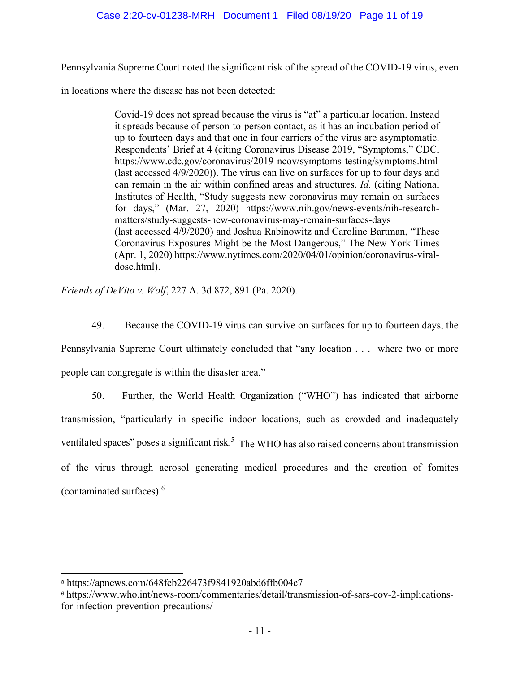## Case 2:20-cv-01238-MRH Document 1 Filed 08/19/20 Page 11 of 19

Pennsylvania Supreme Court noted the significant risk of the spread of the COVID-19 virus, even

in locations where the disease has not been detected:

Covid-19 does not spread because the virus is "at" a particular location. Instead it spreads because of person-to-person contact, as it has an incubation period of up to fourteen days and that one in four carriers of the virus are asymptomatic. Respondents' Brief at 4 (citing Coronavirus Disease 2019, "Symptoms," CDC, https://www.cdc.gov/coronavirus/2019-ncov/symptoms-testing/symptoms.html (last accessed 4/9/2020)). The virus can live on surfaces for up to four days and can remain in the air within confined areas and structures. Id. (citing National Institutes of Health, "Study suggests new coronavirus may remain on surfaces for days," (Mar. 27, 2020) https://www.nih.gov/news-events/nih-researchmatters/study-suggests-new-coronavirus-may-remain-surfaces-days (last accessed 4/9/2020) and Joshua Rabinowitz and Caroline Bartman, "These Coronavirus Exposures Might be the Most Dangerous," The New York Times  $(Apr. 1, 2020)$  https://www.nytimes.com/2020/04/01/opinion/coronavirus-viraldose.html).

Friends of DeVito v. Wolf, 227 A. 3d 872, 891 (Pa. 2020).

49. Because the COVID-19 virus can survive on surfaces for up to fourteen days, the Pennsylvania Supreme Court ultimately concluded that "any location . . . where two or more

people can congregate is within the disaster area."

50. Further, the World Health Organization ("WHO") has indicated that airborne transmission, "particularly in specific indoor locations, such as crowded and inadequately ventilated spaces" poses a significant risk.<sup>5</sup> The WHO has also raised concerns about transmission of the virus through aerosol generating medical procedures and the creation of fomites (contaminated surfaces). $6$ 

<sup>5</sup> https://apnews.com/648feb226473f9841920abd6ffb004c7

<sup>&</sup>lt;sup>6</sup> https://www.who.int/news-room/commentaries/detail/transmission-of-sars-cov-2-implicationsfor-infection-prevention-precautions/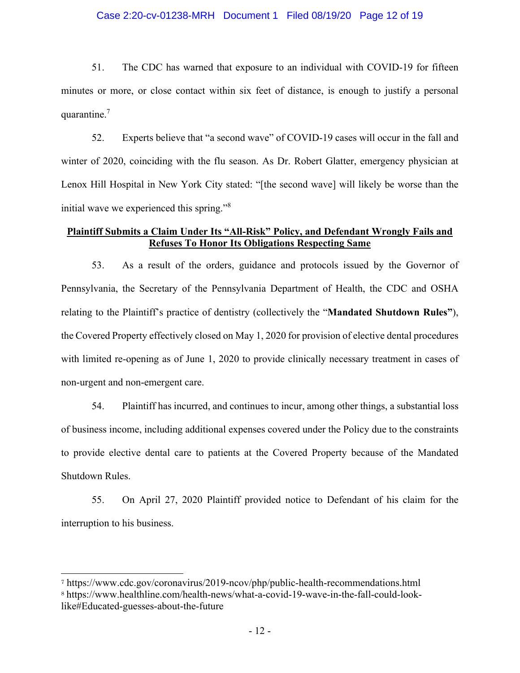### Case 2:20-cv-01238-MRH Document 1 Filed 08/19/20 Page 12 of 19

 $51.$ The CDC has warned that exposure to an individual with COVID-19 for fifteen minutes or more, or close contact within six feet of distance, is enough to justify a personal quarantine. $<sup>7</sup>$ </sup>

52. Experts believe that "a second wave" of COVID-19 cases will occur in the fall and winter of 2020, coinciding with the flu season. As Dr. Robert Glatter, emergency physician at Lenox Hill Hospital in New York City stated: "[the second wave] will likely be worse than the initial wave we experienced this spring."<sup>8</sup>

### **Plaintiff Submits a Claim Under Its "All-Risk" Policy, and Defendant Wrongly Fails and Refuses To Honor Its Obligations Respecting Same**

53. As a result of the orders, guidance and protocols issued by the Governor of Pennsylvania, the Secretary of the Pennsylvania Department of Health, the CDC and OSHA relating to the Plaintiff's practice of dentistry (collectively the "Mandated Shutdown Rules"), the Covered Property effectively closed on May 1, 2020 for provision of elective dental procedures with limited re-opening as of June 1, 2020 to provide clinically necessary treatment in cases of non-urgent and non-emergent care.

54. Plaintiff has incurred, and continues to incur, among other things, a substantial loss of business income, including additional expenses covered under the Policy due to the constraints to provide elective dental care to patients at the Covered Property because of the Mandated Shutdown Rules.

55. On April 27, 2020 Plaintiff provided notice to Defendant of his claim for the interruption to his business.

<sup>7</sup> https://www.cdc.gov/coronavirus/2019-ncov/php/public-health-recommendations.html 8 https://www.healthline.com/health-news/what-a-covid-19-wave-in-the-fall-could-looklike#Educated-guesses-about-the-future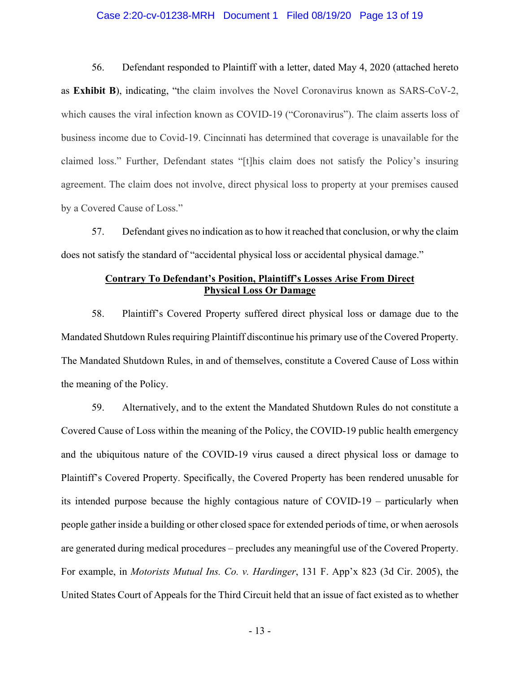#### Case 2:20-cv-01238-MRH Document 1 Filed 08/19/20 Page 13 of 19

56. Defendant responded to Plaintiff with a letter, dated May 4, 2020 (attached hereto as Exhibit B), indicating, "the claim involves the Novel Coronavirus known as SARS-CoV-2, which causes the viral infection known as COVID-19 ("Coronavirus"). The claim asserts loss of business income due to Covid-19. Cincinnati has determined that coverage is unavailable for the claimed loss." Further, Defendant states "[t]his claim does not satisfy the Policy's insuring agreement. The claim does not involve, direct physical loss to property at your premises caused by a Covered Cause of Loss."

57. Defendant gives no indication as to how it reached that conclusion, or why the claim does not satisfy the standard of "accidental physical loss or accidental physical damage."

### **Contrary To Defendant's Position, Plaintiff's Losses Arise From Direct Physical Loss Or Damage**

58. Plaintiff's Covered Property suffered direct physical loss or damage due to the Mandated Shutdown Rules requiring Plaintiff discontinue his primary use of the Covered Property. The Mandated Shutdown Rules, in and of themselves, constitute a Covered Cause of Loss within the meaning of the Policy.

59. Alternatively, and to the extent the Mandated Shutdown Rules do not constitute a Covered Cause of Loss within the meaning of the Policy, the COVID-19 public health emergency and the ubiquitous nature of the COVID-19 virus caused a direct physical loss or damage to Plaintiff's Covered Property. Specifically, the Covered Property has been rendered unusable for its intended purpose because the highly contagious nature of COVID-19 – particularly when people gather inside a building or other closed space for extended periods of time, or when aerosols are generated during medical procedures – precludes any meaningful use of the Covered Property. For example, in *Motorists Mutual Ins. Co. v. Hardinger*, 131 F. App'x 823 (3d Cir. 2005), the United States Court of Appeals for the Third Circuit held that an issue of fact existed as to whether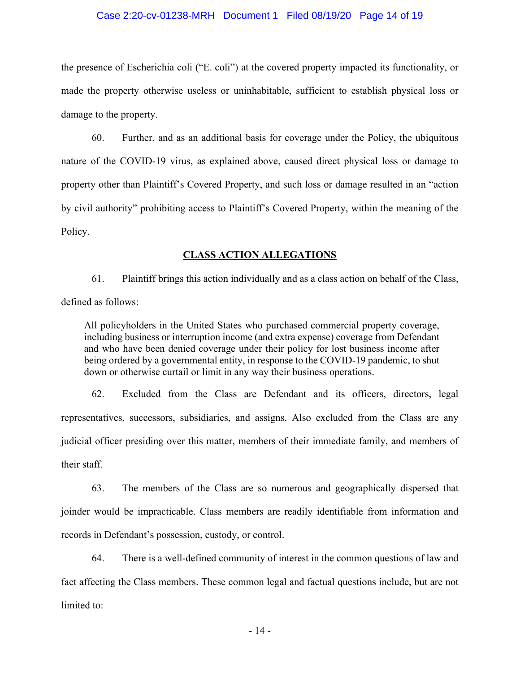### Case 2:20-cv-01238-MRH Document 1 Filed 08/19/20 Page 14 of 19

the presence of Escherichia coli ("E. coli") at the covered property impacted its functionality, or made the property otherwise useless or uninhabitable, sufficient to establish physical loss or damage to the property.

60. Further, and as an additional basis for coverage under the Policy, the ubiquitous nature of the COVID-19 virus, as explained above, caused direct physical loss or damage to property other than Plaintiff's Covered Property, and such loss or damage resulted in an "action" by civil authority" prohibiting access to Plaintiff's Covered Property, within the meaning of the Policy.

### **CLASS ACTION ALLEGATIONS**

61. Plaintiff brings this action individually and as a class action on behalf of the Class, defined as follows:

All policyholders in the United States who purchased commercial property coverage, including business or interruption income (and extra expense) coverage from Defendant and who have been denied coverage under their policy for lost business income after being ordered by a governmental entity, in response to the COVID-19 pandemic, to shut down or otherwise curtail or limit in any way their business operations.

62. Excluded from the Class are Defendant and its officers, directors, legal representatives, successors, subsidiaries, and assigns. Also excluded from the Class are any judicial officer presiding over this matter, members of their immediate family, and members of their staff.

63. The members of the Class are so numerous and geographically dispersed that joinder would be impracticable. Class members are readily identifiable from information and records in Defendant's possession, custody, or control.

64. There is a well-defined community of interest in the common questions of law and fact affecting the Class members. These common legal and factual questions include, but are not limited to: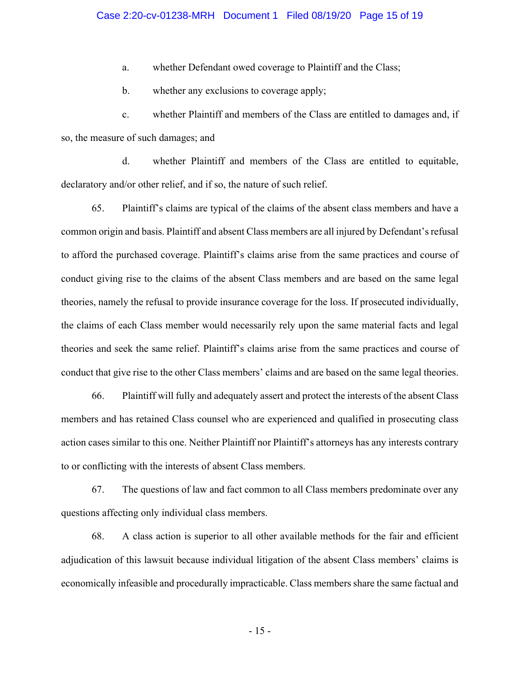whether Defendant owed coverage to Plaintiff and the Class;  $a<sub>z</sub>$ 

whether any exclusions to coverage apply;  $\mathbf{b}$ .

whether Plaintiff and members of the Class are entitled to damages and, if  $\mathbf{c}$ . so, the measure of such damages; and

 $d_{\cdot}$ whether Plaintiff and members of the Class are entitled to equitable, declaratory and/or other relief, and if so, the nature of such relief.

65. Plaintiff's claims are typical of the claims of the absent class members and have a common origin and basis. Plaintiff and absent Class members are all injured by Defendant's refusal to afford the purchased coverage. Plaintiff's claims arise from the same practices and course of conduct giving rise to the claims of the absent Class members and are based on the same legal theories, namely the refusal to provide insurance coverage for the loss. If prosecuted individually, the claims of each Class member would necessarily rely upon the same material facts and legal theories and seek the same relief. Plaintiff's claims arise from the same practices and course of conduct that give rise to the other Class members' claims and are based on the same legal theories.

66. Plaintiff will fully and adequately assert and protect the interests of the absent Class members and has retained Class counsel who are experienced and qualified in prosecuting class action cases similar to this one. Neither Plaintiff nor Plaintiff's attorneys has any interests contrary to or conflicting with the interests of absent Class members.

67. The questions of law and fact common to all Class members predominate over any questions affecting only individual class members.

68. A class action is superior to all other available methods for the fair and efficient adjudication of this lawsuit because individual litigation of the absent Class members' claims is economically infeasible and procedurally impracticable. Class members share the same factual and

 $-15-$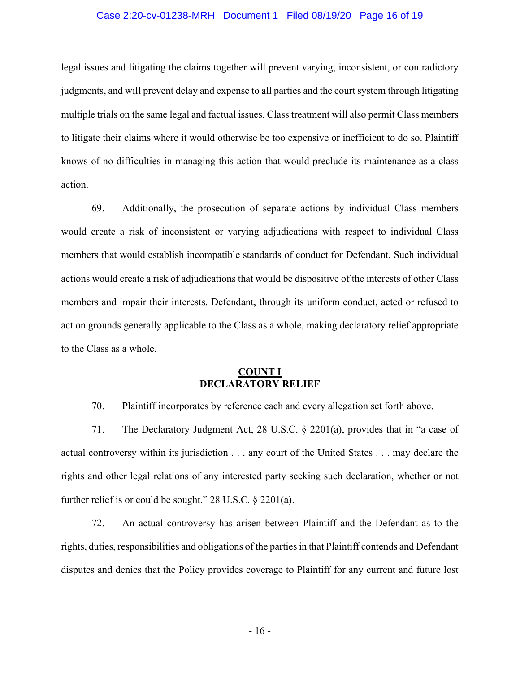### Case 2:20-cv-01238-MRH Document 1 Filed 08/19/20 Page 16 of 19

legal issues and litigating the claims together will prevent varying, inconsistent, or contradictory judgments, and will prevent delay and expense to all parties and the court system through litigating multiple trials on the same legal and factual issues. Class treatment will also permit Class members to litigate their claims where it would otherwise be too expensive or inefficient to do so. Plaintiff knows of no difficulties in managing this action that would preclude its maintenance as a class action.

69. Additionally, the prosecution of separate actions by individual Class members would create a risk of inconsistent or varying adjudications with respect to individual Class members that would establish incompatible standards of conduct for Defendant. Such individual actions would create a risk of adjudications that would be dispositive of the interests of other Class members and impair their interests. Defendant, through its uniform conduct, acted or refused to act on grounds generally applicable to the Class as a whole, making declaratory relief appropriate to the Class as a whole.

#### **COUNT I DECLARATORY RELIEF**

70. Plaintiff incorporates by reference each and every allegation set forth above.

71. The Declaratory Judgment Act, 28 U.S.C.  $\S$  2201(a), provides that in "a case of actual controversy within its jurisdiction . . . any court of the United States . . . may declare the rights and other legal relations of any interested party seeking such declaration, whether or not further relief is or could be sought."  $28$  U.S.C.  $\S$   $2201(a)$ .

72. An actual controversy has arisen between Plaintiff and the Defendant as to the rights, duties, responsibilities and obligations of the parties in that Plaintiff contends and Defendant disputes and denies that the Policy provides coverage to Plaintiff for any current and future lost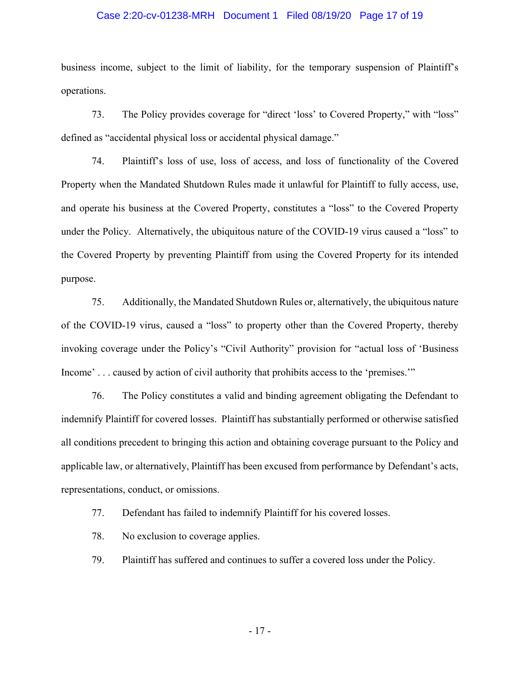#### Case 2:20-cv-01238-MRH Document 1 Filed 08/19/20 Page 17 of 19

business income, subject to the limit of liability, for the temporary suspension of Plaintiff's operations.

The Policy provides coverage for "direct 'loss' to Covered Property," with "loss" 73. defined as "accidental physical loss or accidental physical damage."

74. Plaintiff's loss of use, loss of access, and loss of functionality of the Covered Property when the Mandated Shutdown Rules made it unlawful for Plaintiff to fully access, use, and operate his business at the Covered Property, constitutes a "loss" to the Covered Property under the Policy. Alternatively, the ubiquitous nature of the COVID-19 virus caused a "loss" to the Covered Property by preventing Plaintiff from using the Covered Property for its intended purpose.

75. Additionally, the Mandated Shutdown Rules or, alternatively, the ubiquitous nature of the COVID-19 virus, caused a "loss" to property other than the Covered Property, thereby invoking coverage under the Policy's "Civil Authority" provision for "actual loss of 'Business Income'... caused by action of civil authority that prohibits access to the 'premises."

76. The Policy constitutes a valid and binding agreement obligating the Defendant to indemnify Plaintiff for covered losses. Plaintiff has substantially performed or otherwise satisfied all conditions precedent to bringing this action and obtaining coverage pursuant to the Policy and applicable law, or alternatively, Plaintiff has been excused from performance by Defendant's acts, representations, conduct, or omissions.

77. Defendant has failed to indemnify Plaintiff for his covered losses.

78. No exclusion to coverage applies.

79. Plaintiff has suffered and continues to suffer a covered loss under the Policy.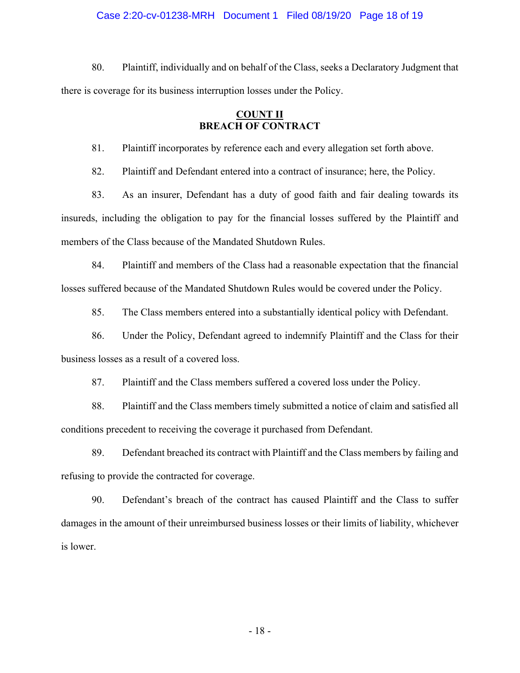#### Case 2:20-cv-01238-MRH Document 1 Filed 08/19/20 Page 18 of 19

80. Plaintiff, individually and on behalf of the Class, seeks a Declaratory Judgment that there is coverage for its business interruption losses under the Policy.

### **COUNT II BREACH OF CONTRACT**

Plaintiff incorporates by reference each and every allegation set forth above. 81.

82. Plaintiff and Defendant entered into a contract of insurance; here, the Policy.

83. As an insurer, Defendant has a duty of good faith and fair dealing towards its insureds, including the obligation to pay for the financial losses suffered by the Plaintiff and members of the Class because of the Mandated Shutdown Rules.

84. Plaintiff and members of the Class had a reasonable expectation that the financial losses suffered because of the Mandated Shutdown Rules would be covered under the Policy.

85. The Class members entered into a substantially identical policy with Defendant.

86. Under the Policy, Defendant agreed to indemnify Plaintiff and the Class for their business losses as a result of a covered loss.

87. Plaintiff and the Class members suffered a covered loss under the Policy.

88. Plaintiff and the Class members timely submitted a notice of claim and satisfied all conditions precedent to receiving the coverage it purchased from Defendant.

89. Defendant breached its contract with Plaintiff and the Class members by failing and refusing to provide the contracted for coverage.

90. Defendant's breach of the contract has caused Plaintiff and the Class to suffer damages in the amount of their unreimbursed business losses or their limits of liability, whichever is lower.